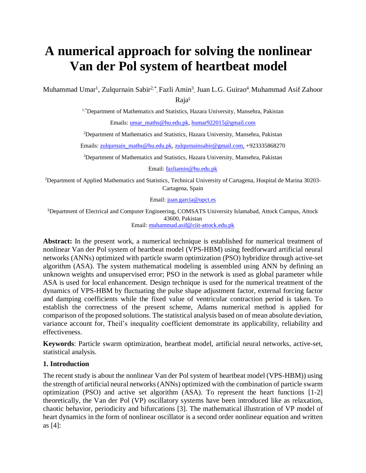# **A numerical approach for solving the nonlinear Van der Pol system of heartbeat model**

Muhammad Umar<sup>1</sup>, Zulqurnain Sabir<sup>2,\*</sup>, Fazli Amin<sup>3</sup>, Juan L.G. Guirao<sup>4</sup>, Muhammad Asif Zahoor

Raja<sup>5</sup>

<sup>1,\*</sup>Department of Mathematics and Statistics, Hazara University, Mansehra, Pakistan

Emails: [umar\\_maths@hu.edu.pk,](mailto:umar_maths@hu.edu.pk) [humar922015@gmail.com](mailto:humar922015@gmail.com)

<sup>2</sup>Department of Mathematics and Statistics, Hazara University, Mansehra, Pakistan

Emails[: zulqurnain\\_maths@hu.edu.pk,](mailto:zulqurnain_maths@hu.edu.pk) [zulqurnainsabir@gmail.com,](mailto:zulqurnainsabir@gmail.com) +923335868270

<sup>3</sup>Department of Mathematics and Statistics, Hazara University, Mansehra, Pakistan

Email: [fazliamin@hu.edu.pk](mailto:fazliamin@hu.edu.pk)

<sup>2</sup>Department of Applied Mathematics and Statistics, Technical University of Cartagena, Hospital de Marina 30203- Cartagena, Spain

Email: [juan.garcia@upct.es](mailto:juan.garcia@upct.es)

<sup>5</sup>Department of Electrical and Computer Engineering, COMSATS University Islamabad, Attock Campus, Attock 43600, Pakistan Email: [muhammad.asif@ciit-attock.edu.pk](mailto:muhammad.asif@ciit-attock.edu.pk)

**Abstract:** In the present work, a numerical technique is established for numerical treatment of nonlinear Van der Pol system of heartbeat model (VPS-HBM) using feedforward artificial neural networks (ANNs) optimized with particle swarm optimization (PSO) hybridize through active-set algorithm (ASA). The system mathematical modeling is assembled using ANN by defining an unknown weights and unsupervised error; PSO in the network is used as global parameter while ASA is used for local enhancement. Design technique is used for the numerical treatment of the dynamics of VPS-HBM by fluctuating the pulse shape adjustment factor, external forcing factor and damping coefficients while the fixed value of ventricular contraction period is taken. To establish the correctness of the present scheme, Adams numerical method is applied for comparison of the proposed solutions. The statistical analysis based on of mean absolute deviation, variance account for, Theil's inequality coefficient demonstrate its applicability, reliability and effectiveness.

**Keywords**: Particle swarm optimization, heartbeat model, artificial neural networks, active-set, statistical analysis.

## **1. Introduction**

The recent study is about the nonlinear Van der Pol system of heartbeat model (VPS-HBM)) using the strength of artificial neural networks (ANNs) optimized with the combination of particle swarm optimization (PSO) and active set algorithm (ASA). To represent the heart functions [1-2] theoretically, the Van der Pol (VP) oscillatory systems have been introduced like as relaxation, chaotic behavior, periodicity and bifurcations [3]. The mathematical illustration of VP model of heart dynamics in the form of nonlinear oscillator is a second order nonlinear equation and written as [4]: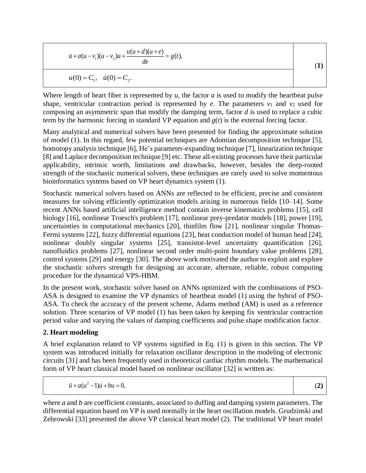$$
\ddot{u} + a(u - v_1)(u - v_2)\dot{u} + \frac{u(u + d)(u + e)}{de} = g(t),
$$
\n
$$
u(0) = C_1, \quad \dot{u}(0) = C_2.
$$
\n(1)

Where length of heart fiber is represented by *u,* the factor *a* is used to modify the heartbeat pulse shape, ventricular contraction period is represented by  $e$ . The parameters  $v_1$  and  $v_2$  used for composing an asymmetric span that modify the damping term, factor *d* is used to replace a cubic term by the harmonic forcing in standard VP equation and *g*(*t*) is the external forcing factor.

Many analytical and numerical solvers have been presented for finding the approximate solution of model (1). In this regard, few potential techniques are Adomian decomposition technique [5], homotopy analysis technique [6], He's parameter-expanding technique [7], linearization technique [8] and Laplace decomposition technique [9] etc. These all-existing processes have their particular applicability, intrinsic worth, limitations and drawbacks, however, besides the deep-rooted strength of the stochastic numerical solvers, these techniques are rarely used to solve momentous bioinformatics systems based on VP heart dynamics system (1).

Stochastic numerical solvers based on ANNs are reflected to be efficient, precise and consistent measures for solving efficiently optimization models arising in numerous fields [10–14]. Some recent ANNs based artificial intelligence method contain inverse kinematics problems [15], cell biology [16], nonlinear Troesch's problem [17], nonlinear prey-predator models [18], power [19], uncertainties in computational mechanics [20], thinfilm flow [21], nonlinear singular Thomas-Fermi systems [22], fuzzy differential equations [23], heat conduction model of human head [24], nonlinear doubly singular systems [25], transistor-level uncertainty quantification [26], nanofluidics problems [27], nonlinear second order multi-point boundary value problems [28], control systems [29] and energy [30]. The above work motivated the author to exploit and explore the stochastic solvers strength for designing an accurate, alternate, reliable, robust computing procedure for the dynamical VPS-HBM.

In the present work, stochastic solver based on ANNs optimized with the combinations of PSO-ASA is designed to examine the VP dynamics of heartbeat model (1) using the hybrid of PSO-ASA. To check the accuracy of the present scheme, Adams method (AM) is used as a reference solution. Three scenarios of VP model (1) has been taken by keeping fix ventricular contraction period value and varying the values of damping coefficients and pulse shape modification factor.

## **2. Heart modeling**

A brief explanation related to VP systems signified in Eq. (1) is given in this section. The VP system was introduced initially for relaxation oscillator description in the modeling of electronic circuits [31] and has been frequently used in theoretical cardiac rhythm models. The mathematical form of VP heart classical model based on nonlinear oscillator [32] is written as:

 $\ddot{u} + a(u^2 - 1)\dot{u} + bu = 0,$ 

(**2)**

where *a* and *b* are coefficient constants, associated to duffing and damping system parameters. The differential equation based on VP is used normally in the heart oscillation models. Grudzinski and Zebrowski [33] presented the above VP classical heart model (2). The traditional VP heart model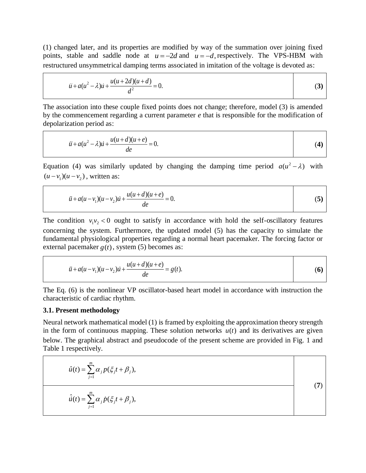(1) changed later, and its properties are modified by way of the summation over joining fixed points, stable and saddle node at  $u = -2d$  and  $u = -d$ , respectively. The VPS-HBM with restructured unsymmetrical damping terms associated in imitation of the voltage is devoted as:

$$
\ddot{u} + a(u^2 - \lambda)\dot{u} + \frac{u(u + 2d)(u + d)}{d^2} = 0.
$$
 (3)

The association into these couple fixed points does not change; therefore, model (3) is amended by the commencement regarding a current parameter *e* that is responsible for the modification of depolarization period as:

$$
\ddot{u} + a(u^2 - \lambda)\dot{u} + \frac{u(u+d)(u+e)}{de} = 0.
$$
 (4)

Equation (4) was similarly updated by changing the damping time period  $a(u^2 - \lambda)$  with  $(u - v_1)(u - v_2)$ , written as:

$$
\ddot{u} + a(u - v_1)(u - v_2)\dot{u} + \frac{u(u + d)(u + e)}{de} = 0.
$$
 (5)

Τ

The condition  $v_1v_2 < 0$  ought to satisfy in accordance with hold the self-oscillatory features concerning the system. Furthermore, the updated model (5) has the capacity to simulate the fundamental physiological properties regarding a normal heart pacemaker. The forcing factor or external pacemaker  $g(t)$ , system (5) becomes as:

$$
\ddot{u} + a(u - v_1)(u - v_2)\dot{u} + \frac{u(u + d)(u + e)}{de} = g(t).
$$
 (6)

The Eq. (6) is the nonlinear VP oscillator-based heart model in accordance with instruction the characteristic of cardiac rhythm.

#### **3.1. Present methodology**

Neural network mathematical model (1) is framed by exploiting the approximation theory strength in the form of continuous mapping. These solution networks  $u(t)$  and its derivatives are given below. The graphical abstract and pseudocode of the present scheme are provided in Fig. 1 and Table 1 respectively.

$$
\hat{u}(t) = \sum_{j=1}^{m} \alpha_j p(\xi_j t + \beta_j),
$$
\n
$$
\hat{u}(t) = \sum_{j=1}^{m} \alpha_j \hat{p}(\xi_j t + \beta_j),
$$
\n(7)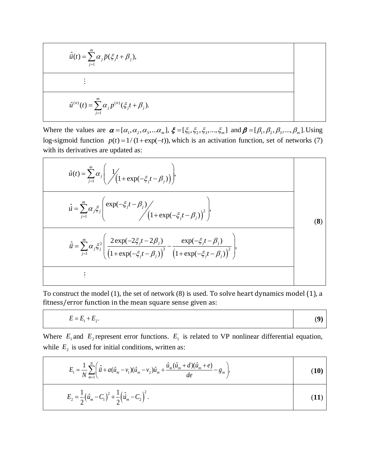$$
\hat{u}(t) = \sum_{j=1}^{m} \alpha_j \ddot{p}(\xi_j t + \beta_j),
$$
\n
$$
\vdots
$$
\n
$$
\hat{u}^{(n)}(t) = \sum_{j=1}^{m} \alpha_j p^{(n)}(\xi_j t + \beta_j).
$$

Where the values are  $\alpha = [\alpha_1, \alpha_2, \alpha_3, \dots, \alpha_m]$ ,  $\xi = [\xi_1, \xi_2, \xi_3, \dots, \xi_m]$  and  $\beta = [\beta_1, \beta_2, \beta_3, \dots, \beta_m]$ . Using log-sigmoid function  $p(t) = 1/(1 + \exp(-t))$ , which is an activation function, set of networks (7) with its derivatives are updated as:

$$
\hat{u}(t) = \sum_{j=1}^{m} \alpha_{j} \left( \frac{1}{\sqrt{\left(1 + \exp(-\xi_{j}t - \beta_{j})\right)}} \right),
$$
\n
$$
\hat{u} = \sum_{j=1}^{m} \alpha_{j} \xi_{j} \left( \frac{\exp(-\xi_{j}t - \beta_{j})}{\sqrt{\left(1 + \exp(-\xi_{j}t - \beta_{j})\right)^{2}} \right),
$$
\n
$$
\hat{u} = \sum_{j=1}^{m} \alpha_{j} \xi_{j}^{2} \left( \frac{2 \exp(-2\xi_{j}t - 2\beta_{j})}{\left(1 + \exp(-\xi_{j}t - \beta_{j})\right)^{3}} - \frac{\exp(-\xi_{j}t - \beta_{j})}{\left(1 + \exp(-\xi_{j}t - \beta_{j})\right)^{2}} \right),
$$
\n
$$
\vdots
$$
\n(8)

To construct the model (1), the set of network (8) is used. To solve heart dynamics model (1), a fitness/error function in the mean square sense given as:

$$
E = E_1 + E_2.
$$

 $\blacksquare$ 

(**9)**

Where  $E_1$  and  $E_2$  represent error functions.  $E_1$  is related to VP nonlinear differential equation, while  $E_2$  is used for initial conditions, written as:

$$
E_1 = \frac{1}{N} \sum_{m=1}^{N} \left( \hat{\ddot{u}} + a(\hat{u}_m - v_1)(\hat{u}_m - v_2)\hat{u}_m + \frac{\hat{u}_m(\hat{u}_m + d)(\hat{u}_m + e)}{de} - g_m \right),
$$
  
\n
$$
E_2 = \frac{1}{2} (\hat{u}_m - C_1)^2 + \frac{1}{2} (\hat{u}_m - C_2)^2.
$$
\n(11)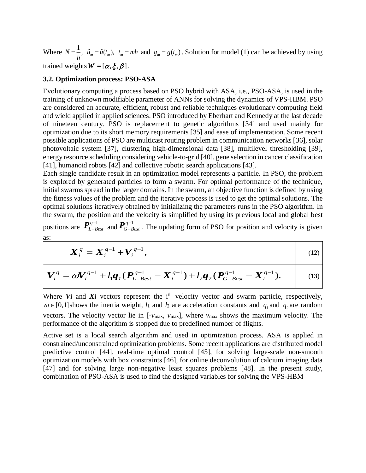Where  $N = \frac{1}{h}$ ,  $\hat{u}_m = \hat{u}(t_m)$ ,  $t_m = mh$  and  $g_m = g(t_m)$ . Solution for model (1) can be achieved by using trained weights  $W = [\alpha, \xi, \beta]$ .

#### **3.2. Optimization process: PSO-ASA**

Evolutionary computing a process based on PSO hybrid with ASA, i.e., PSO-ASA, is used in the training of unknown modifiable parameter of ANNs for solving the dynamics of VPS-HBM. PSO are considered an accurate, efficient, robust and reliable techniques evolutionary computing field and wield applied in applied sciences. PSO introduced by Eberhart and Kennedy at the last decade of nineteen century. PSO is replacement to genetic algorithms [34] and used mainly for optimization due to its short memory requirements [35] and ease of implementation. Some recent possible applications of PSO are multicast routing problem in communication networks [36], solar photovoltaic system [37], clustering high-dimensional data [38], multilevel thresholding [39], energy resource scheduling considering vehicle-to-grid [40], gene selection in cancer classification [41], humanoid robots [42] and collective robotic search applications [43].

Each single candidate result in an optimization model represents a particle. In PSO, the problem is explored by generated particles to form a swarm. For optimal performance of the technique, initial swarms spread in the larger domains. In the swarm, an objective function is defined by using the fitness values of the problem and the iterative process is used to get the optimal solutions. The optimal solutions iteratively obtained by initializing the parameters runs in the PSO algorithm. In the swarm, the position and the velocity is simplified by using its previous local and global best

positions are  $P_{L-B}^{q-1}$  $\bm{P}^{q-1}_{L-Best}$  and  $\bm{P}^{q-1}_{G-E}$  $P_{G-Best}^{q-1}$ . The updating form of PSO for position and velocity is given as:

$$
X_i^q = X_i^{q-1} + V_i^{q-1},
$$
\n
$$
V_i^q = \omega V_i^{q-1} + l_1 q_I (P_{L-Best}^{q-1} - X_i^{q-1}) + l_2 q_2 (P_{G-Best}^{q-1} - X_i^{q-1}).
$$
\n(12)

Where *V*i and *X*i vectors represent the i<sup>th</sup> velocity vector and swarm particle, respectively,  $\omega \in [0,1]$  shows the inertia weight,  $l_1$  and  $l_2$  are acceleration constants and  $q_1$  and  $q_2$  are random vectors. The velocity vector lie in [-*v*max, *v*max], where *v*max shows the maximum velocity. The performance of the algorithm is stopped due to predefined number of flights.

Active set is a local search algorithm and used in optimization process. ASA is applied in constrained/unconstrained optimization problems. Some recent applications are distributed model predictive control [44], real-time optimal control [45], for solving large-scale non-smooth optimization models with box constraints [46], for online deconvolution of calcium imaging data [47] and for solving large non-negative least squares problems [48]. In the present study, combination of PSO-ASA is used to find the designed variables for solving the VPS-HBM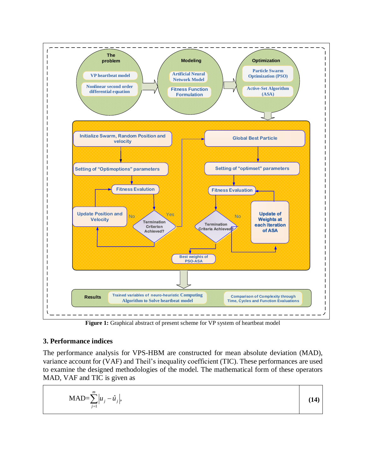

Figure 1: Graphical abstract of present scheme for VP system of heartbeat model

## **3. Performance indices**

The performance analysis for VPS-HBM are constructed for mean absolute deviation (MAD), variance account for (VAF) and Theil's inequality coefficient (TIC). These performances are used to examine the designed methodologies of the model. The mathematical form of these operators MAD, VAF and TIC is given as

$$
\text{MAD} = \sum_{j=1}^{m} \left| u_j - \hat{u}_j \right|, \tag{14}
$$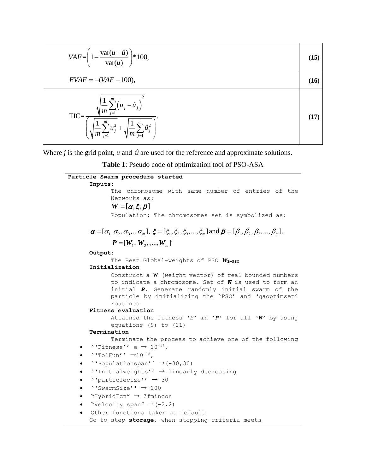| $VAF = \left(1 - \frac{\text{var}(u - \hat{u})}{\text{var}(u)}\right) * 100,$                                                                                                           | (15) |
|-----------------------------------------------------------------------------------------------------------------------------------------------------------------------------------------|------|
| $EVAF = -(VAF - 100),$                                                                                                                                                                  | (16) |
| $\sqrt{\frac{1}{m}\sum_{j=1}^{m}(u_j - \hat{u}_j)^2}$<br>$TIC = -$<br>$\left( \sqrt{ \frac{1}{m} \sum_{j=1}^{m} u_j^2 } + \sqrt{ \frac{1}{m} \sum_{j=1}^{m} \hat{u}_j^2 } \, \right)^2$ |      |

Where  $j$  is the grid point,  $u$  and  $\hat{u}$  are used for the reference and approximate solutions.



| Particle Swarm procedure started                                                                                                                 |
|--------------------------------------------------------------------------------------------------------------------------------------------------|
| Inputs:                                                                                                                                          |
| The chromosome with same number of entries of the                                                                                                |
| Networks as:                                                                                                                                     |
| $W = [\alpha, \xi, \beta]$                                                                                                                       |
| Population: The chromosomes set is symbolized as:                                                                                                |
| $\alpha = [\alpha_1, \alpha_2, \alpha_3,  \alpha_m], \xi = [\xi_1, \xi_2, \xi_3, , \xi_m]$ and $\beta = [\beta_1, \beta_2, \beta_3, , \beta_m].$ |
| $P = [W_1, W_2, \ldots, W_m]^t$                                                                                                                  |
| Output:                                                                                                                                          |
| The Best Global-weights of PSO $W_{\text{B-PSO}}$                                                                                                |
| Initialization                                                                                                                                   |
| Construct a $W$ (weight vector) of real bounded numbers                                                                                          |
| to indicate a chromosome. Set of W is used to form an                                                                                            |
| initial P. Generate randomly initial swarm of the                                                                                                |
| particle by initializing the 'PSO' and 'gaoptimset'                                                                                              |
| routines                                                                                                                                         |
| Fitness evaluation<br>Attained the fitness 'E' in 'P' for all 'W' by using                                                                       |
| equations $(9)$ to $(11)$                                                                                                                        |
| Termination                                                                                                                                      |
| Terminate the process to achieve one of the following                                                                                            |
| "Fitness" e $\rightarrow$ 10 <sup>-18</sup> ,                                                                                                    |
| $'$ 'TolFun'' $\rightarrow$ 10 <sup>-18</sup> ,<br>$\bullet$                                                                                     |
| "Populationspan" $\rightarrow$ (-30,30)<br>٠                                                                                                     |
| "Initialweights" $\rightarrow$ linearly decreasing<br>$\bullet$                                                                                  |
| ''particlecize'' $\rightarrow$ 30<br>٠                                                                                                           |
| $'$ 'SwarmSize'' $\rightarrow$ 100<br>$\bullet$                                                                                                  |
| "HybridFcn" $\rightarrow$ @fmincon<br>٠                                                                                                          |
| "Velocity span" $\rightarrow$ (-2, 2)<br>$\bullet$                                                                                               |
| Other functions taken as default<br>$\bullet$                                                                                                    |
|                                                                                                                                                  |

Go to step **storage**, when stopping criteria meets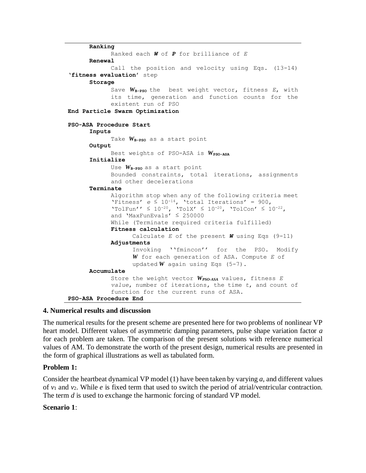**Ranking** Ranked each *W* of *P* for brilliance of *E* **Renewal** Call the position and velocity using Eqs. (13-14) '**fitness evaluation**' step **Storage** Save W<sub>B-PSO</sub> the best weight vector, fitness *E*, with its time, generation and function counts for the existent run of PSO **End Particle Swarm Optimization PSO-ASA Procedure Start Inputs** Take  $W_{\text{B-PSO}}$  as a start point **Output** Best weights of PSO-ASA is W<sub>PSO-ASA</sub> **Initialize** Use *W***B-PSO** as a start point Bounded constraints, total iterations, assignments and other decelerations **Terminate** Algorithm stop when any of the following criteria meet 'Fitness'  $e \le 10^{-14}$ , 'total Iterations' = 900,  $\text{YtolFun'} \leq 10^{-20}$ ,  $\text{YtolX'} \leq 10^{-20}$ ,  $\text{YtolCon'} \leq 10^{-22}$ , and 'MaxFunEvals' ≤ 250000 While (Terminate required criteria fulfilled) **Fitness calculation** Calculate *E* of the present *W* using Eqs (9-11) **Adjustments** Invoking ''fmincon'' for the PSO. Modify *W* for each generation of ASA. Compute *E* of updated *W* again using Eqs (5-7). **Accumulate** Store the weight vector *WPSO-ASA* values, fitness *E value*, number of iterations, the time *t*, and count of function for the current runs of ASA. **PSO-ASA Procedure End**

## **4. Numerical results and discussion**

The numerical results for the present scheme are presented here for two problems of nonlinear VP heart model. Different values of asymmetric damping parameters, pulse shape variation factor *a* for each problem are taken. The comparison of the present solutions with reference numerical values of AM. To demonstrate the worth of the present design, numerical results are presented in the form of graphical illustrations as well as tabulated form.

## **Problem 1:**

Consider the heartbeat dynamical VP model (1) have been taken by varying *a*, and different values of *v*<sup>1</sup> and *v*2. While *e* is fixed term that used to switch the period of atrial/ventricular contraction. The term *d* is used to exchange the harmonic forcing of standard VP model.

## **Scenario 1**: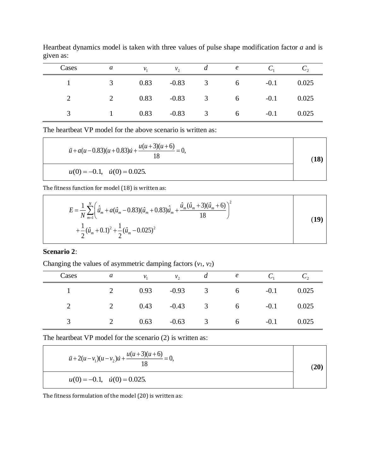| Cases | $\overline{a}$          | $\mathcal{V}_1$ | $v_{\gamma}$ | $\mathfrak{a}$          |                 |        |       |
|-------|-------------------------|-----------------|--------------|-------------------------|-----------------|--------|-------|
|       | $\overline{\mathbf{3}}$ | 0.83            |              | $-0.83$ 3               | 6               | $-0.1$ | 0.025 |
|       | 2                       | 0.83            |              | $-0.83$ 3               | $6\overline{6}$ | $-0.1$ | 0.025 |
|       | $-1$                    | 0.83            | $-0.83$      | $\overline{\mathbf{3}}$ | $6\overline{6}$ | $-0.1$ | 0.025 |

Heartbeat dynamics model is taken with three values of pulse shape modification factor *a* and is given as:

The heartbeat VP model for the above scenario is written as:

| $\ddot{u} + a(u - 0.83)(u + 0.83)\dot{u} + \frac{u(u + 3)(u + 6)}{18} = 0,$ |  |  |  |
|-----------------------------------------------------------------------------|--|--|--|
| $u(0) = -0.1$ , $u(0) = 0.025$ .                                            |  |  |  |

The fitness function for model (18) is written as:

$$
E = \frac{1}{N} \sum_{m=1}^{N} \left( \hat{u}_m + a(\hat{u}_m - 0.83)(\hat{u}_m + 0.83)\hat{u}_m + \frac{\hat{u}_m(\hat{u}_m + 3)(\hat{u}_m + 6)}{18} \right)^2
$$
  
+  $\frac{1}{2} (\hat{u}_m + 0.1)^2 + \frac{1}{2} (\hat{u}_m - 0.025)^2$  (19)

٦

#### **Scenario 2**:

Changing the values of asymmetric damping factors (*v*1, *v*2)

| Cases | a      | $\mathcal{V}_1$  | $v_{\gamma}$ | $\mu$                   | $\epsilon$       |        |              |
|-------|--------|------------------|--------------|-------------------------|------------------|--------|--------------|
|       | 2 0.93 |                  | $-0.93$      |                         | $3 \t\t 6$       | $-0.1$ | 0.025        |
|       |        | 2 0.43 -0.43 3 6 |              |                         |                  |        | $-0.1$ 0.025 |
|       |        | 0.63             | $-0.63$      | $\overline{\mathbf{3}}$ | $6 \quad \sigma$ | $-0.1$ | 0.025        |

The heartbeat VP model for the scenario (2) is written as:

| $\ddot{u} + 2(u - v_1)(u - v_2)\dot{u} + \frac{u(u+3)(u+6)}{18} = 0,$ | (20 |
|-----------------------------------------------------------------------|-----|
| $u(0) = -0.1$ , $u(0) = 0.025$ .                                      |     |

The fitness formulation of the model (20) is written as: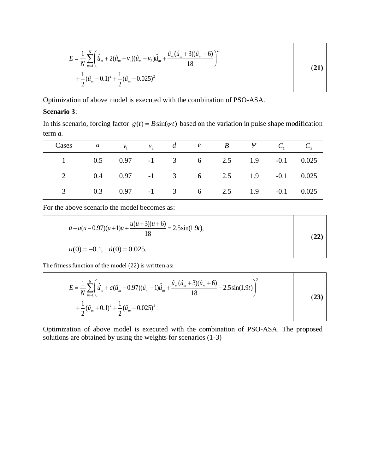$$
E = \frac{1}{N} \sum_{m=1}^{N} \left( \hat{u}_m + 2(\hat{u}_m - v_1)(\hat{u}_m - v_2)\hat{u}_m + \frac{\hat{u}_m(\hat{u}_m + 3)(\hat{u}_m + 6)}{18} \right)^2
$$
  
+  $\frac{1}{2} (\hat{u}_m + 0.1)^2 + \frac{1}{2} (\hat{u}_m - 0.025)^2$  (21)

Optimization of above model is executed with the combination of PSO-ASA.

## **Scenario 3**:

In this scenario, forcing factor  $g(t) = B\sin(\psi t)$  based on the variation in pulse shape modification term *a.* 

| Cases a $v_1$ $v_2$ de B $\psi$ C, C, |  |  |                                      |  |  |
|---------------------------------------|--|--|--------------------------------------|--|--|
|                                       |  |  | 1 0.5 0.97 -1 3 6 2.5 1.9 -0.1 0.025 |  |  |
|                                       |  |  | 2 0.4 0.97 -1 3 6 2.5 1.9 -0.1 0.025 |  |  |
|                                       |  |  | 3 0.3 0.97 -1 3 6 2.5 1.9 -0.1 0.025 |  |  |

For the above scenario the model becomes as:

$$
\ddot{u} + a(u - 0.97)(u + 1)\dot{u} + \frac{u(u + 3)(u + 6)}{18} = 2.5\sin(1.9t),
$$
  
\n
$$
u(0) = -0.1, \quad \dot{u}(0) = 0.025.
$$
\n(22)

The fitness function of the model (22) is written as:

$$
E = \frac{1}{N} \sum_{m=1}^{N} \left( \hat{\ddot{u}}_m + a(\hat{u}_m - 0.97)(\hat{u}_m + 1)\hat{\dot{u}}_m + \frac{\hat{u}_m(\hat{u}_m + 3)(\hat{u}_m + 6)}{18} - 2.5\sin(1.9t) \right)^2
$$
  
+  $\frac{1}{2} (\hat{u}_m + 0.1)^2 + \frac{1}{2} (\hat{u}_m - 0.025)^2$  (23)

٦

Τ

Optimization of above model is executed with the combination of PSO-ASA. The proposed solutions are obtained by using the weights for scenarios (1-3)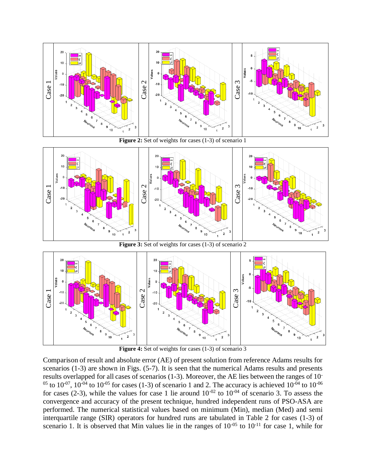

Figure 2: Set of weights for cases (1-3) of scenario 1



Figure 3: Set of weights for cases (1-3) of scenario 2



**Figure 4:** Set of weights for cases (1-3) of scenario 3

Comparison of result and absolute error (AE) of present solution from reference Adams results for scenarios (1-3) are shown in Figs. (5-7). It is seen that the numerical Adams results and presents results overlapped for all cases of scenarios (1-3). Moreover, the AE lies between the ranges of 10- <sup>05</sup> to  $10^{-07}$ ,  $10^{-04}$  to  $10^{-05}$  for cases (1-3) of scenario 1 and 2. The accuracy is achieved  $10^{-04}$  to  $10^{-06}$ for cases (2-3), while the values for case 1 lie around  $10^{-02}$  to  $10^{-04}$  of scenario 3. To assess the convergence and accuracy of the present technique, hundred independent runs of PSO-ASA are performed. The numerical statistical values based on minimum (Min), median (Med) and semi interquartile range (SIR) operators for hundred runs are tabulated in Table 2 for cases (1-3) of scenario 1. It is observed that Min values lie in the ranges of  $10^{-05}$  to  $10^{-11}$  for case 1, while for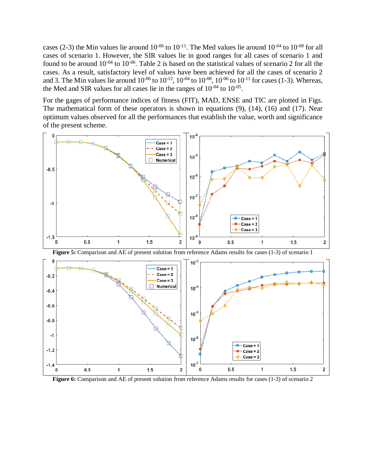cases (2-3) the Min values lie around  $10^{-06}$  to  $10^{-11}$ . The Med values lie around  $10^{-04}$  to  $10^{-08}$  for all cases of scenario 1. However, the SIR values lie in good ranges for all cases of scenario 1 and found to be around  $10^{-04}$  to  $10^{-06}$ . Table 2 is based on the statistical values of scenario 2 for all the cases. As a result, satisfactory level of values have been achieved for all the cases of scenario 2 and 3. The Min values lie around  $10^{-06}$  to  $10^{-12}$ ,  $10^{-04}$  to  $10^{-08}$ ,  $10^{-06}$  to  $10^{-11}$  for cases (1-3). Whereas, the Med and SIR values for all cases lie in the ranges of  $10^{-04}$  to  $10^{-05}$ .

For the gages of performance indices of fitness (FIT), MAD, ENSE and TIC are plotted in Figs. The mathematical form of these operators is shown in equations (9), (14), (16) and (17). Near optimum values observed for all the performances that establish the value, worth and significance of the present scheme.



**Figure 5:** Comparison and AE of present solution from reference Adams results for cases (1-3) of scenario 1



**Figure 6:** Comparison and AE of present solution from reference Adams results for cases (1-3) of scenario 2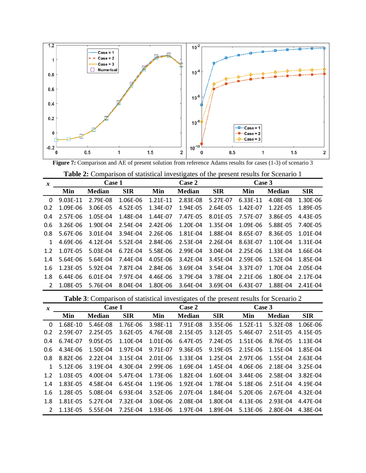

**Figure 7:** Comparison and AE of present solution from reference Adams results for cases (1-3) of scenario 3

|                  | Table 2: Comparison of statistical investigates of the present results for Scenario 1 |               |            |          |               |            |          |               |            |  |  |
|------------------|---------------------------------------------------------------------------------------|---------------|------------|----------|---------------|------------|----------|---------------|------------|--|--|
| $\boldsymbol{x}$ |                                                                                       | Case 1        |            |          | Case 2        |            |          | Case 3        |            |  |  |
|                  | Min                                                                                   | <b>Median</b> | <b>SIR</b> | Min      | <b>Median</b> | <b>SIR</b> | Min      | <b>Median</b> | <b>SIR</b> |  |  |
| $\mathbf{0}$     | 9.03E-11                                                                              | 2.79E-08      | 1.06E-06   | 1.21E-11 | 2.83E-08      | 5.27E-07   | 6.33E-11 | 4.08E-08      | 1.30E-06   |  |  |
| 0.2              | 1.09E-06                                                                              | 3.06E-05      | 4.52E-05   | 1.34E-07 | 1.94E-05      | 2.64E-05   | 1.42E-07 | 1.22E-05      | 1.89E-05   |  |  |
| 0.4              | 2.57E-06                                                                              | 1.05E-04      | 1.48E-04   | 1.44E-07 | 7.47E-05      | 8.01E-05   | 7.57E-07 | 3.86E-05      | 4.43E-05   |  |  |
| 0.6              | 3.26E-06                                                                              | 1.90E-04      | 2.54E-04   | 2.42E-06 | 1.20E-04      | 1.35E-04   | 1.09E-06 | 5.88E-05      | 7.40E-05   |  |  |
| 0.8              | 5.67E-06                                                                              | 3.01E-04      | 3.94E-04   | 2.26E-06 | 1.81E-04      | 1.88E-04   | 8.65E-07 | 8.36E-05      | 1.01E-04   |  |  |
| $\mathbf{1}$     | 4.69E-06                                                                              | 4.12E-04      | 5.52E-04   | 2.84E-06 | 2.53E-04      | 2.26E-04   | 8.63E-07 | 1.10E-04      | 1.31E-04   |  |  |
| 1.2              | 1.07E-05                                                                              | 5.03E-04      | 6.72E-04   | 5.58E-06 | 2.99E-04      | 3.04E-04   | 2.25E-06 | 1.33E-04      | 1.66E-04   |  |  |
| 1.4              | 5.64E-06                                                                              | 5.64E-04      | 7.44E-04   | 4.05E-06 | 3.42E-04      | 3.45E-04   | 2.59E-06 | 1.52E-04      | 1.85E-04   |  |  |
| 1.6              | 1.23E-05                                                                              | 5.92E-04      | 7.87E-04   | 2.84E-06 | 3.69E-04      | 3.54E-04   | 3.37E-07 | 1.70E-04      | 2.05E-04   |  |  |
| 1.8              | 6.44E-06                                                                              | 6.01E-04      | 7.97E-04   | 4.46E-06 | 3.79E-04      | 3.78E-04   | 2.21E-06 | 1.80E-04      | 2.17E-04   |  |  |
| $\mathcal{L}$    | 1.08E-05                                                                              | 5.76E-04      | 8.04E-04   | 1.80E-06 | 3.64E-04      | 3.69E-04   | 6.43E-07 | 1.88E-04      | 2.41E-04   |  |  |

**Table 3**: Comparison of statistical investigates of the present results for Scenario 2

| $\boldsymbol{x}$ |          | Case 1        |            |          | Case 2        |            | Case 3   |               |            |
|------------------|----------|---------------|------------|----------|---------------|------------|----------|---------------|------------|
|                  | Min      | <b>Median</b> | <b>SIR</b> | Min      | <b>Median</b> | <b>SIR</b> | Min      | <b>Median</b> | <b>SIR</b> |
| 0                | 1.68E-10 | 5.46E-08      | 1.76E-06   | 3.98E-11 | 7.91E-08      | 3.35E-06   | 1.52E-11 | 5.32E-08      | 1.06E-06   |
| 0.2              | 2.59E-07 | 2.25E-05      | 3.62E-05   | 4.76E-08 | 2.15E-05      | 3.12E-05   | 5.46E-07 | 2.51E-05      | 4.15E-05   |
| 0.4              | 6.74E-07 | 9.05E-05      | 1.10E-04   | 1.01E-06 | 6.47E-05      | 7.24E-05   | 1.51E-06 | 8.76E-05      | 1.13E-04   |
| 0.6              | 4.34E-06 | 1.50E-04      | 1.97E-04   | 9.71E-07 | 9.36E-05      | 9.19E-05   | 2.15E-06 | 1.15E-04      | 1.85E-04   |
| 0.8              | 8.82E-06 | 2.22E-04      | 3.15E-04   | 2.01E-06 | 1.33E-04      | 1.25E-04   | 2.97E-06 | 1.55E-04      | 2.63E-04   |
| 1                | 5.12E-06 | 3.19E-04      | 4.30E-04   | 2.99E-06 | 1.69E-04      | 1.45E-04   | 4.06E-06 | 2.18E-04      | 3.25E-04   |
| 1.2              | 1.03E-05 | 4.00E-04      | 5.47E-04   | 1.73E-06 | 1.82E-04      | 1.60E-04   | 3.44E-06 | 2.58E-04      | 3.82E-04   |
| 1.4              | 1.83E-05 | 4.58E-04      | 6.45E-04   | 1.19E-06 | 1.92E-04      | 1.78E-04   | 5.18E-06 | 2.51E-04      | 4.19E-04   |
| 1.6              | 1.28E-05 | 5.08E-04      | 6.93E-04   | 3.52E-06 | 2.07E-04      | 1.84E-04   | 5.20E-06 | 2.67E-04      | 4.32E-04   |
| 1.8              | 1.81E-05 | 5.27E-04      | 7.32E-04   | 3.06E-06 | 2.08E-04      | 1.80E-04   | 4.13E-06 | 2.93E-04      | 4.47F-04   |
| 2                | 1.13E-05 | 5.55E-04      | 7.25E-04   | 1.93E-06 | 1.97E-04      | 1.89E-04   | 5.13E-06 | 2.80E-04      | 4.38E-04   |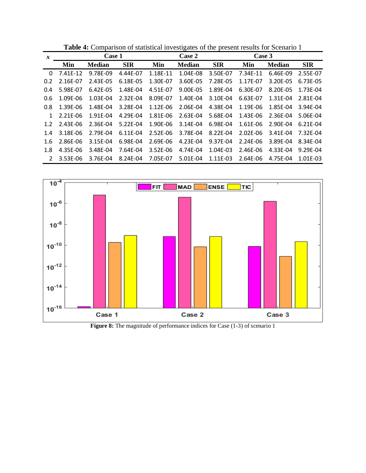| $\boldsymbol{x}$ | Case 1   |               |            |          | Case 2        |            |          |               |            |  |
|------------------|----------|---------------|------------|----------|---------------|------------|----------|---------------|------------|--|
|                  | Min      | <b>Median</b> | <b>SIR</b> | Min      | <b>Median</b> | <b>SIR</b> | Min      | <b>Median</b> | <b>SIR</b> |  |
| 0                | 7.41E-12 | 9.78E-09      | 4.44E-07   | 1.18E-11 | 1.04E-08      | 3.50E-07   | 7.34E-11 | 6.46E-09      | 2.55E-07   |  |
| 0.2              | 2.16E-07 | 2.43E-05      | 6.18E-05   | 1.30E-07 | 3.60E-05      | 7.28E-05   | 1.17E-07 | 3.20E-05      | 6.73E-05   |  |
| 0.4              | 5.98E-07 | 6.42E-05      | 1.48E-04   | 4.51E-07 | 9.00E-05      | 1.89E-04   | 6.30E-07 | 8.20E-05      | 1.73E-04   |  |
| 0.6              | 1.09E-06 | 1.03E-04      | 2.32E-04   | 8.09E-07 | 1.40E-04      | 3.10E-04   | 6.63E-07 | 1.31E-04      | 2.81E-04   |  |
| 0.8              | 1.39E-06 | 1.48E-04      | 3.28E-04   | 1.12E-06 | 2.06E-04      | 4.38E-04   | 1.19E-06 | 1.85E-04      | 3.94E-04   |  |
| 1                | 2.21E-06 | 1.91E-04      | 4.29E-04   | 1.81E-06 | 2.63E-04      | 5.68E-04   | 1.43E-06 | 2.36E-04      | 5.06E-04   |  |
| 1.2              | 2.43E-06 | 2.36E-04      | 5.22E-04   | 1.90E-06 | 3.14E-04      | 6.98E-04   | 1.61E-06 | 2.90E-04      | 6.21E-04   |  |
| 1.4              | 3.18E-06 | 2.79E-04      | 6.11E-04   | 2.52E-06 | 3.78E-04      | 8.22E-04   | 2.02E-06 | 3.41E-04      | 7.32E-04   |  |
| 1.6              | 2.86E-06 | 3.15E-04      | 6.98E-04   | 2.69E-06 | 4.23E-04      | 9.37E-04   | 2.24E-06 | 3.89E-04      | 8.34E-04   |  |
| 1.8              | 4.35E-06 | 3.48E-04      | 7.64E-04   | 3.52E-06 | 4.74E-04      | 1.04E-03   | 2.46E-06 | 4.33E-04      | 9.29F-04   |  |
| $\mathcal{P}$    | 3.53E-06 | 3.76E-04      | 8.24E-04   | 7.05E-07 | 5.01E-04      | 1.11E-03   | 2.64E-06 | 4.75E-04      | 1.01E-03   |  |

**Table 4:** Comparison of statistical investigates of the present results for Scenario 1



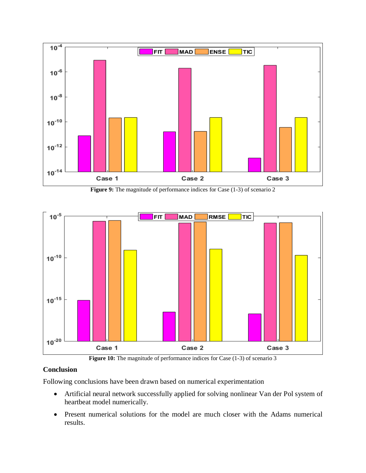

**Figure 9:** The magnitude of performance indices for Case (1-3) of scenario 2



Figure 10: The magnitude of performance indices for Case (1-3) of scenario 3

## **Conclusion**

Following conclusions have been drawn based on numerical experimentation

- Artificial neural network successfully applied for solving nonlinear Van der Pol system of heartbeat model numerically.
- Present numerical solutions for the model are much closer with the Adams numerical results.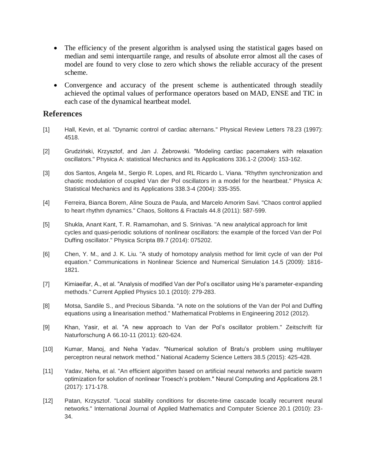- The efficiency of the present algorithm is analysed using the statistical gages based on median and semi interquartile range, and results of absolute error almost all the cases of model are found to very close to zero which shows the reliable accuracy of the present scheme.
- Convergence and accuracy of the present scheme is authenticated through steadily achieved the optimal values of performance operators based on MAD, ENSE and TIC in each case of the dynamical heartbeat model.

# **References**

- [1] Hall, Kevin, et al. "Dynamic control of cardiac alternans." Physical Review Letters 78.23 (1997): 4518.
- [2] Grudziński, Krzysztof, and Jan J. Żebrowski. "Modeling cardiac pacemakers with relaxation oscillators." Physica A: statistical Mechanics and its Applications 336.1-2 (2004): 153-162.
- [3] dos Santos, Angela M., Sergio R. Lopes, and RL Ricardo L. Viana. "Rhythm synchronization and chaotic modulation of coupled Van der Pol oscillators in a model for the heartbeat." Physica A: Statistical Mechanics and its Applications 338.3-4 (2004): 335-355.
- [4] Ferreira, Bianca Borem, Aline Souza de Paula, and Marcelo Amorim Savi. "Chaos control applied to heart rhythm dynamics." Chaos, Solitons & Fractals 44.8 (2011): 587-599.
- [5] Shukla, Anant Kant, T. R. Ramamohan, and S. Srinivas. "A new analytical approach for limit cycles and quasi-periodic solutions of nonlinear oscillators: the example of the forced Van der Pol Duffing oscillator." Physica Scripta 89.7 (2014): 075202.
- [6] Chen, Y. M., and J. K. Liu. "A study of homotopy analysis method for limit cycle of van der Pol equation." Communications in Nonlinear Science and Numerical Simulation 14.5 (2009): 1816- 1821.
- [7] Kimiaeifar, A., et al. "Analysis of modified Van der Pol's oscillator using He's parameter-expanding methods." Current Applied Physics 10.1 (2010): 279-283.
- [8] Motsa, Sandile S., and Precious Sibanda. "A note on the solutions of the Van der Pol and Duffing equations using a linearisation method." Mathematical Problems in Engineering 2012 (2012).
- [9] Khan, Yasir, et al. "A new approach to Van der Pol's oscillator problem." Zeitschrift für Naturforschung A 66.10-11 (2011): 620-624.
- [10] Kumar, Manoj, and Neha Yadav. "Numerical solution of Bratu's problem using multilayer perceptron neural network method." National Academy Science Letters 38.5 (2015): 425-428.
- [11] Yadav, Neha, et al. "An efficient algorithm based on artificial neural networks and particle swarm optimization for solution of nonlinear Troesch's problem." Neural Computing and Applications 28.1 (2017): 171-178.
- [12] Patan, Krzysztof. "Local stability conditions for discrete-time cascade locally recurrent neural networks." International Journal of Applied Mathematics and Computer Science 20.1 (2010): 23- 34.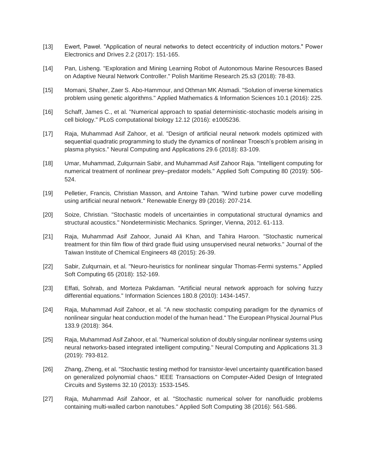- [13] Ewert, Paweł. "Application of neural networks to detect eccentricity of induction motors." Power Electronics and Drives 2.2 (2017): 151-165.
- [14] Pan, Lisheng. "Exploration and Mining Learning Robot of Autonomous Marine Resources Based on Adaptive Neural Network Controller." Polish Maritime Research 25.s3 (2018): 78-83.
- [15] Momani, Shaher, Zaer S. Abo-Hammour, and Othman MK Alsmadi. "Solution of inverse kinematics problem using genetic algorithms." Applied Mathematics & Information Sciences 10.1 (2016): 225.
- [16] Schaff, James C., et al. "Numerical approach to spatial deterministic-stochastic models arising in cell biology." PLoS computational biology 12.12 (2016): e1005236.
- [17] Raja, Muhammad Asif Zahoor, et al. "Design of artificial neural network models optimized with sequential quadratic programming to study the dynamics of nonlinear Troesch's problem arising in plasma physics." Neural Computing and Applications 29.6 (2018): 83-109.
- [18] Umar, Muhammad, Zulqurnain Sabir, and Muhammad Asif Zahoor Raja. "Intelligent computing for numerical treatment of nonlinear prey–predator models." Applied Soft Computing 80 (2019): 506- 524.
- [19] Pelletier, Francis, Christian Masson, and Antoine Tahan. "Wind turbine power curve modelling using artificial neural network." Renewable Energy 89 (2016): 207-214.
- [20] Soize, Christian. "Stochastic models of uncertainties in computational structural dynamics and structural acoustics." Nondeterministic Mechanics. Springer, Vienna, 2012. 61-113.
- [21] Raja, Muhammad Asif Zahoor, Junaid Ali Khan, and Tahira Haroon. "Stochastic numerical treatment for thin film flow of third grade fluid using unsupervised neural networks." Journal of the Taiwan Institute of Chemical Engineers 48 (2015): 26-39.
- [22] Sabir, Zulqurnain, et al. "Neuro-heuristics for nonlinear singular Thomas-Fermi systems." Applied Soft Computing 65 (2018): 152-169.
- [23] Effati, Sohrab, and Morteza Pakdaman. "Artificial neural network approach for solving fuzzy differential equations." Information Sciences 180.8 (2010): 1434-1457.
- [24] Raja, Muhammad Asif Zahoor, et al. "A new stochastic computing paradigm for the dynamics of nonlinear singular heat conduction model of the human head." The European Physical Journal Plus 133.9 (2018): 364.
- [25] Raja, Muhammad Asif Zahoor, et al. "Numerical solution of doubly singular nonlinear systems using neural networks-based integrated intelligent computing." Neural Computing and Applications 31.3 (2019): 793-812.
- [26] Zhang, Zheng, et al. "Stochastic testing method for transistor-level uncertainty quantification based on generalized polynomial chaos." IEEE Transactions on Computer-Aided Design of Integrated Circuits and Systems 32.10 (2013): 1533-1545.
- [27] Raja, Muhammad Asif Zahoor, et al. "Stochastic numerical solver for nanofluidic problems containing multi-walled carbon nanotubes." Applied Soft Computing 38 (2016): 561-586.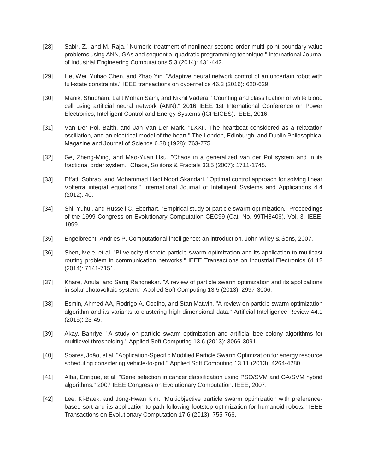- [28] Sabir, Z., and M. Raja. "Numeric treatment of nonlinear second order multi-point boundary value problems using ANN, GAs and sequential quadratic programming technique." International Journal of Industrial Engineering Computations 5.3 (2014): 431-442.
- [29] He, Wei, Yuhao Chen, and Zhao Yin. "Adaptive neural network control of an uncertain robot with full-state constraints." IEEE transactions on cybernetics 46.3 (2016): 620-629.
- [30] Manik, Shubham, Lalit Mohan Saini, and Nikhil Vadera. "Counting and classification of white blood cell using artificial neural network (ANN)." 2016 IEEE 1st International Conference on Power Electronics, Intelligent Control and Energy Systems (ICPEICES). IEEE, 2016.
- [31] Van Der Pol, Balth, and Jan Van Der Mark. "LXXII. The heartbeat considered as a relaxation oscillation, and an electrical model of the heart." The London, Edinburgh, and Dublin Philosophical Magazine and Journal of Science 6.38 (1928): 763-775.
- [32] Ge, Zheng-Ming, and Mao-Yuan Hsu. "Chaos in a generalized van der Pol system and in its fractional order system." Chaos, Solitons & Fractals 33.5 (2007): 1711-1745.
- [33] Effati, Sohrab, and Mohammad Hadi Noori Skandari. "Optimal control approach for solving linear Volterra integral equations." International Journal of Intelligent Systems and Applications 4.4 (2012): 40.
- [34] Shi, Yuhui, and Russell C. Eberhart. "Empirical study of particle swarm optimization." Proceedings of the 1999 Congress on Evolutionary Computation-CEC99 (Cat. No. 99TH8406). Vol. 3. IEEE, 1999.
- [35] Engelbrecht, Andries P. Computational intelligence: an introduction. John Wiley & Sons, 2007.
- [36] Shen, Meie, et al. "Bi-velocity discrete particle swarm optimization and its application to multicast routing problem in communication networks." IEEE Transactions on Industrial Electronics 61.12 (2014): 7141-7151.
- [37] Khare, Anula, and Saroj Rangnekar. "A review of particle swarm optimization and its applications in solar photovoltaic system." Applied Soft Computing 13.5 (2013): 2997-3006.
- [38] Esmin, Ahmed AA, Rodrigo A. Coelho, and Stan Matwin. "A review on particle swarm optimization algorithm and its variants to clustering high-dimensional data." Artificial Intelligence Review 44.1 (2015): 23-45.
- [39] Akay, Bahriye. "A study on particle swarm optimization and artificial bee colony algorithms for multilevel thresholding." Applied Soft Computing 13.6 (2013): 3066-3091.
- [40] Soares, João, et al. "Application-Specific Modified Particle Swarm Optimization for energy resource scheduling considering vehicle-to-grid." Applied Soft Computing 13.11 (2013): 4264-4280.
- [41] Alba, Enrique, et al. "Gene selection in cancer classification using PSO/SVM and GA/SVM hybrid algorithms." 2007 IEEE Congress on Evolutionary Computation. IEEE, 2007.
- [42] Lee, Ki-Baek, and Jong-Hwan Kim. "Multiobjective particle swarm optimization with preferencebased sort and its application to path following footstep optimization for humanoid robots." IEEE Transactions on Evolutionary Computation 17.6 (2013): 755-766.